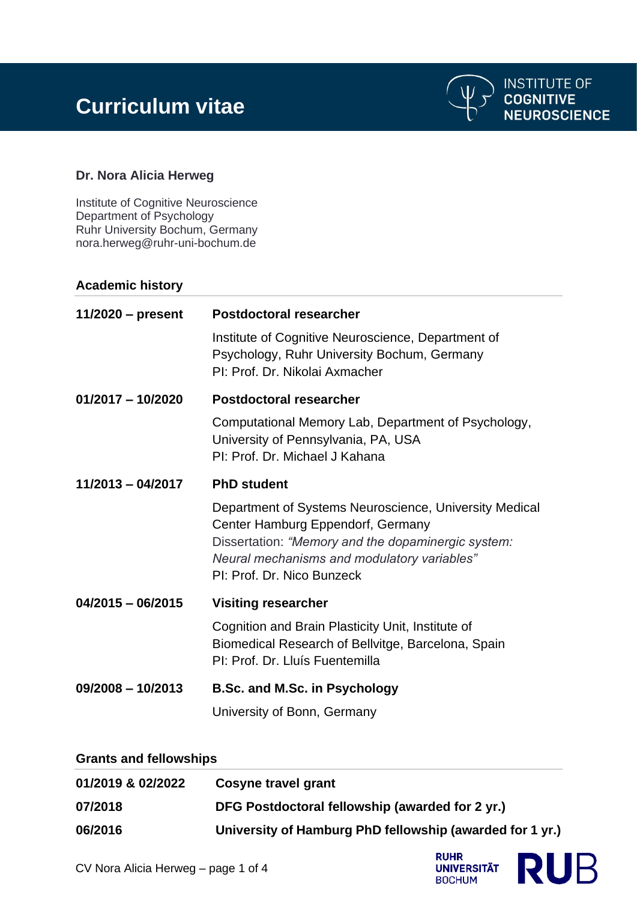

# **Dr. Nora Alicia Herweg**

Institute of Cognitive Neuroscience Department of Psychology Ruhr University Bochum, Germany nora.herweg@ruhr-uni-bochum.de

## **Academic history**

| $11/2020$ – present | <b>Postdoctoral researcher</b>                                                                                                                                                                                                 |
|---------------------|--------------------------------------------------------------------------------------------------------------------------------------------------------------------------------------------------------------------------------|
|                     | Institute of Cognitive Neuroscience, Department of<br>Psychology, Ruhr University Bochum, Germany<br>PI: Prof. Dr. Nikolai Axmacher                                                                                            |
| $01/2017 - 10/2020$ | Postdoctoral researcher                                                                                                                                                                                                        |
|                     | Computational Memory Lab, Department of Psychology,<br>University of Pennsylvania, PA, USA<br>PI: Prof. Dr. Michael J Kahana                                                                                                   |
| $11/2013 - 04/2017$ | <b>PhD student</b>                                                                                                                                                                                                             |
|                     | Department of Systems Neuroscience, University Medical<br>Center Hamburg Eppendorf, Germany<br>Dissertation: "Memory and the dopaminergic system:<br>Neural mechanisms and modulatory variables"<br>PI: Prof. Dr. Nico Bunzeck |
| $04/2015 - 06/2015$ | <b>Visiting researcher</b>                                                                                                                                                                                                     |
|                     | Cognition and Brain Plasticity Unit, Institute of<br>Biomedical Research of Bellvitge, Barcelona, Spain<br>PI: Prof. Dr. Lluís Fuentemilla                                                                                     |
| $09/2008 - 10/2013$ | <b>B.Sc. and M.Sc. in Psychology</b>                                                                                                                                                                                           |
|                     | University of Bonn, Germany                                                                                                                                                                                                    |

#### **Grants and fellowships**

| 01/2019 & 02/2022 | Cosyne travel grant                                      |
|-------------------|----------------------------------------------------------|
| 07/2018           | DFG Postdoctoral fellowship (awarded for 2 yr.)          |
| 06/2016           | University of Hamburg PhD fellowship (awarded for 1 yr.) |



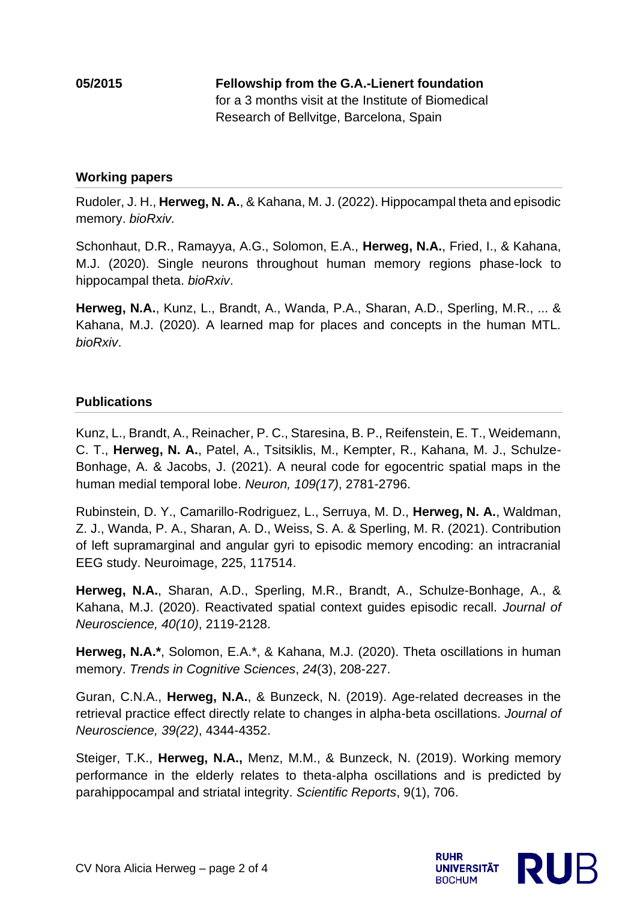## **Working papers**

Rudoler, J. H., **Herweg, N. A.**, & Kahana, M. J. (2022). Hippocampal theta and episodic memory. *bioRxiv.*

Schonhaut, D.R., Ramayya, A.G., Solomon, E.A., **Herweg, N.A.**, Fried, I., & Kahana, M.J. (2020). Single neurons throughout human memory regions phase-lock to hippocampal theta. *bioRxiv*.

**Herweg, N.A.**, Kunz, L., Brandt, A., Wanda, P.A., Sharan, A.D., Sperling, M.R., ... & Kahana, M.J. (2020). A learned map for places and concepts in the human MTL. *bioRxiv*.

## **Publications**

Kunz, L., Brandt, A., Reinacher, P. C., Staresina, B. P., Reifenstein, E. T., Weidemann, C. T., **Herweg, N. A.**, Patel, A., Tsitsiklis, M., Kempter, R., Kahana, M. J., Schulze-Bonhage, A. & Jacobs, J. (2021). A neural code for egocentric spatial maps in the human medial temporal lobe. *Neuron, 109(17)*, 2781-2796.

Rubinstein, D. Y., Camarillo-Rodriguez, L., Serruya, M. D., **Herweg, N. A.**, Waldman, Z. J., Wanda, P. A., Sharan, A. D., Weiss, S. A. & Sperling, M. R. (2021). Contribution of left supramarginal and angular gyri to episodic memory encoding: an intracranial EEG study. Neuroimage, 225, 117514.

**Herweg, N.A.**, Sharan, A.D., Sperling, M.R., Brandt, A., Schulze-Bonhage, A., & Kahana, M.J. (2020). Reactivated spatial context guides episodic recall. *Journal of Neuroscience, 40(10)*, 2119-2128.

**Herweg, N.A.\***, Solomon, E.A.\*, & Kahana, M.J. (2020). Theta oscillations in human memory. *Trends in Cognitive Sciences*, *24*(3), 208-227.

Guran, C.N.A., **Herweg, N.A.**, & Bunzeck, N. (2019). Age-related decreases in the retrieval practice effect directly relate to changes in alpha-beta oscillations. *Journal of Neuroscience, 39(22)*, 4344-4352.

Steiger, T.K., **Herweg, N.A.,** Menz, M.M., & Bunzeck, N. (2019). Working memory performance in the elderly relates to theta-alpha oscillations and is predicted by parahippocampal and striatal integrity. *Scientific Reports*, 9(1), 706.

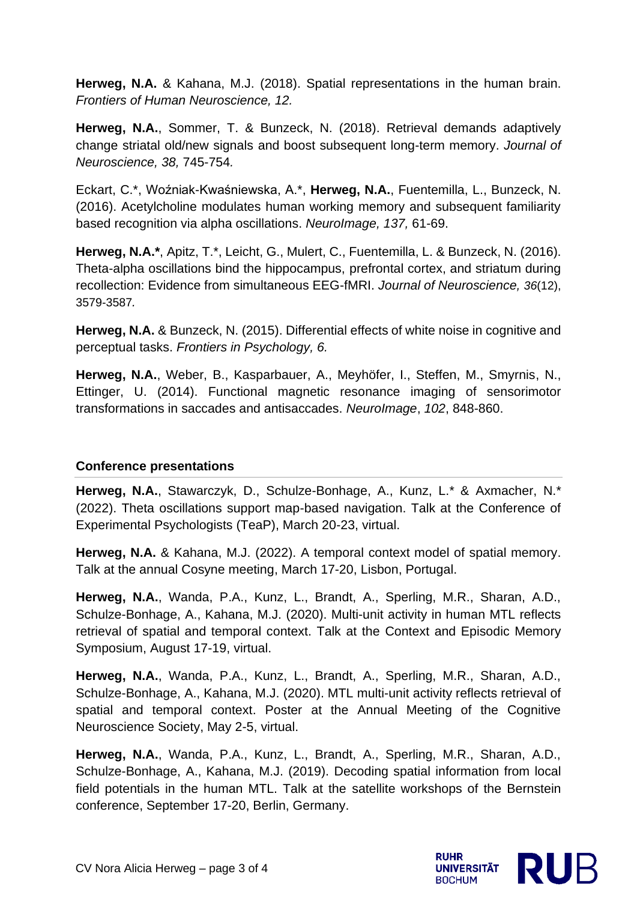**Herweg, N.A.** & Kahana, M.J. (2018). Spatial representations in the human brain. *Frontiers of Human Neuroscience, 12.*

**Herweg, N.A.**, Sommer, T. & Bunzeck, N. (2018). Retrieval demands adaptively change striatal old/new signals and boost subsequent long-term memory. *Journal of Neuroscience, 38,* 745-754*.*

Eckart, C.\*, Woźniak-Kwaśniewska, A.\*, **Herweg, N.A.**, Fuentemilla, L., Bunzeck, N. (2016). Acetylcholine modulates human working memory and subsequent familiarity based recognition via alpha oscillations. *NeuroImage, 137,* 61-69.

**Herweg, N.A.\***, Apitz, T.\*, Leicht, G., Mulert, C., Fuentemilla, L. & Bunzeck, N. (2016). Theta-alpha oscillations bind the hippocampus, prefrontal cortex, and striatum during recollection: Evidence from simultaneous EEG-fMRI. *Journal of Neuroscience, 36*(12), 3579-3587*.*

**Herweg, N.A.** & Bunzeck, N. (2015). Differential effects of white noise in cognitive and perceptual tasks. *Frontiers in Psychology, 6.*

**Herweg, N.A.**, Weber, B., Kasparbauer, A., Meyhöfer, I., Steffen, M., Smyrnis, N., Ettinger, U. (2014). Functional magnetic resonance imaging of sensorimotor transformations in saccades and antisaccades. *NeuroImage*, *102*, 848-860.

# **Conference presentations**

**Herweg, N.A.**, Stawarczyk, D., Schulze-Bonhage, A., Kunz, L.\* & Axmacher, N.\* (2022). Theta oscillations support map-based navigation. Talk at the Conference of Experimental Psychologists (TeaP), March 20-23, virtual.

**Herweg, N.A.** & Kahana, M.J. (2022). A temporal context model of spatial memory. Talk at the annual Cosyne meeting, March 17-20, Lisbon, Portugal.

**Herweg, N.A.**, Wanda, P.A., Kunz, L., Brandt, A., Sperling, M.R., Sharan, A.D., Schulze-Bonhage, A., Kahana, M.J. (2020). Multi-unit activity in human MTL reflects retrieval of spatial and temporal context. Talk at the Context and Episodic Memory Symposium, August 17-19, virtual.

**Herweg, N.A.**, Wanda, P.A., Kunz, L., Brandt, A., Sperling, M.R., Sharan, A.D., Schulze-Bonhage, A., Kahana, M.J. (2020). MTL multi-unit activity reflects retrieval of spatial and temporal context. Poster at the Annual Meeting of the Cognitive Neuroscience Society, May 2-5, virtual.

**Herweg, N.A.**, Wanda, P.A., Kunz, L., Brandt, A., Sperling, M.R., Sharan, A.D., Schulze-Bonhage, A., Kahana, M.J. (2019). Decoding spatial information from local field potentials in the human MTL. Talk at the satellite workshops of the Bernstein conference, September 17-20, Berlin, Germany.